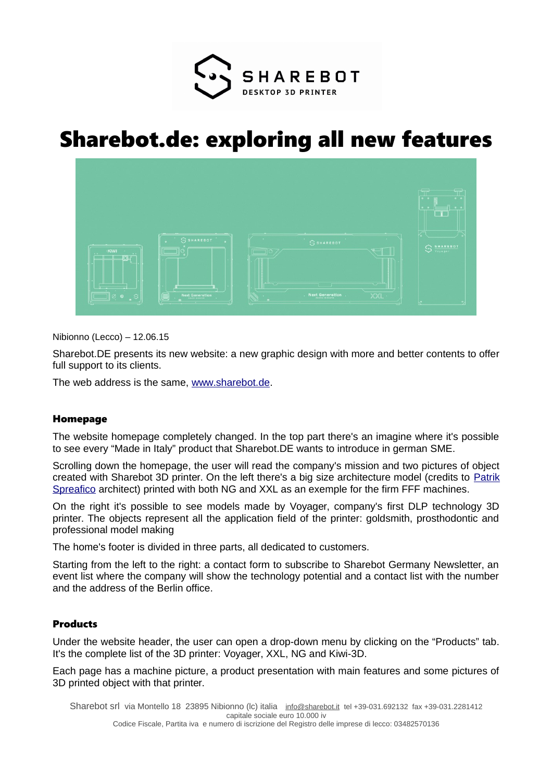

# Sharebot.de: exploring all new features



Nibionno (Lecco) – 12.06.15

Sharebot.DE presents its new website: a new graphic design with more and better contents to offer full support to its clients.

The web address is the same, [www.sharebot.de.](http://www.sharebot.de/)

#### Homepage

The website homepage completely changed. In the top part there's an imagine where it's possible to see every "Made in Italy" product that Sharebot.DE wants to introduce in german SME.

Scrolling down the homepage, the user will read the company's mission and two pictures of object created with Sharebot 3D printer. On the left there's a big size architecture model (credits to [Patrik](http://patrikspreafico.weebly.com/) [Spreafico](http://patrikspreafico.weebly.com/) architect) printed with both NG and XXL as an exemple for the firm FFF machines.

On the right it's possible to see models made by Voyager, company's first DLP technology 3D printer. The objects represent all the application field of the printer: goldsmith, prosthodontic and professional model making

The home's footer is divided in three parts, all dedicated to customers.

Starting from the left to the right: a contact form to subscribe to Sharebot Germany Newsletter, an event list where the company will show the technology potential and a contact list with the number and the address of the Berlin office.

## Products

Under the website header, the user can open a drop-down menu by clicking on the "Products" tab. It's the complete list of the 3D printer: Voyager, XXL, NG and Kiwi-3D.

Each page has a machine picture, a product presentation with main features and some pictures of 3D printed object with that printer.

Sharebot srl via Montello 18 23895 Nibionno (Ic) italia [info@sharebot.it](mailto:info@sharebot.it) tel +39-031.692132 fax +39-031.2281412 capitale sociale euro 10.000 iv Codice Fiscale, Partita iva e numero di iscrizione del Registro delle imprese di lecco: 03482570136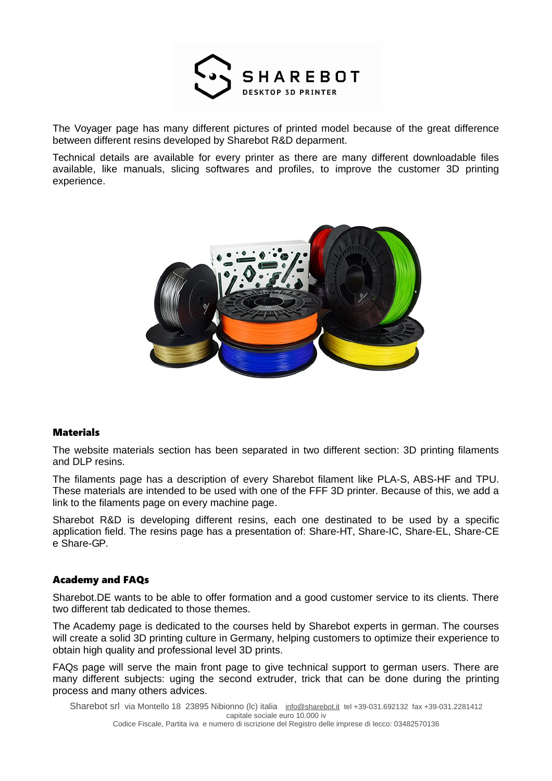

The Voyager page has many different pictures of printed model because of the great difference between different resins developed by Sharebot R&D deparment.

Technical details are available for every printer as there are many different downloadable files available, like manuals, slicing softwares and profiles, to improve the customer 3D printing experience.



#### **Materials**

The website materials section has been separated in two different section: 3D printing filaments and DLP resins.

The filaments page has a description of every Sharebot filament like PLA-S, ABS-HF and TPU. These materials are intended to be used with one of the FFF 3D printer. Because of this, we add a link to the filaments page on every machine page.

Sharebot R&D is developing different resins, each one destinated to be used by a specific application field. The resins page has a presentation of: Share-HT, Share-IC, Share-EL, Share-CE e Share-GP.

#### Academy and FAQs

Sharebot.DE wants to be able to offer formation and a good customer service to its clients. There two different tab dedicated to those themes.

The Academy page is dedicated to the courses held by Sharebot experts in german. The courses will create a solid 3D printing culture in Germany, helping customers to optimize their experience to obtain high quality and professional level 3D prints.

FAQs page will serve the main front page to give technical support to german users. There are many different subjects: uging the second extruder, trick that can be done during the printing process and many others advices.

Sharebot srl via Montello 18 23895 Nibionno (lc) italia [info@sharebot.it](mailto:info@sharebot.it) tel +39-031.692132 fax +39-031.2281412 capitale sociale euro 10.000 iv Codice Fiscale, Partita iva e numero di iscrizione del Registro delle imprese di lecco: 03482570136